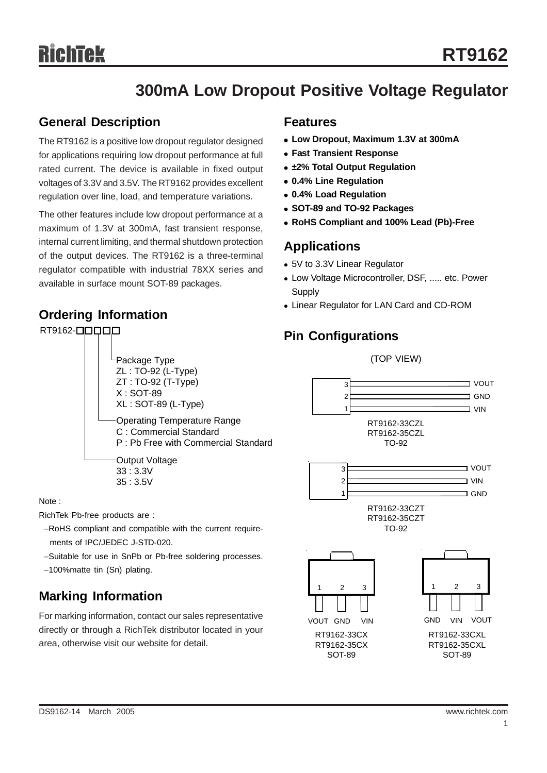# **300mA Low Dropout Positive Voltage Regulator**

### **General Description**

The RT9162 is a positive low dropout regulator designed for applications requiring low dropout performance at full rated current. The device is available in fixed output voltages of 3.3V and 3.5V. The RT9162 provides excellent regulation over line, load, and temperature variations.

The other features include low dropout performance at a maximum of 1.3V at 300mA, fast transient response, internal current limiting, and thermal shutdown protection of the output devices. The RT9162 is a three-terminal regulator compatible with industrial 78XX series and available in surface mount SOT-89 packages.

### **Ordering Information**

#### RT9162-**QQQQQ**

#### **Features**

- <sup>z</sup> **Low Dropout, Maximum 1.3V at 300mA**
- **Fast Transient Response**
- $\cdot$  **±2% Total Output Regulation**
- <sup>z</sup> **0.4% Line Regulation**
- <sup>z</sup> **0.4% Load Regulation**
- <sup>z</sup> **SOT-89 and TO-92 Packages**
- <sup>z</sup> **RoHS Compliant and 100% Lead (Pb)-Free**

## **Applications**

- 5V to 3.3V Linear Regulator
- Low Voltage Microcontroller, DSF, ..... etc. Power **Supply**

(TOP VIEW)

• Linear Regulator for LAN Card and CD-ROM

## **Pin Configurations**



Note :

RichTek Pb-free products are :

- −RoHS compliant and compatible with the current require ments of IPC/JEDEC J-STD-020.
- −Suitable for use in SnPb or Pb-free soldering processes.
- −100%matte tin (Sn) plating.

## **Marking Information**

For marking information, contact our sales representative directly or through a RichTek distributor located in your area, otherwise visit our website for detail.

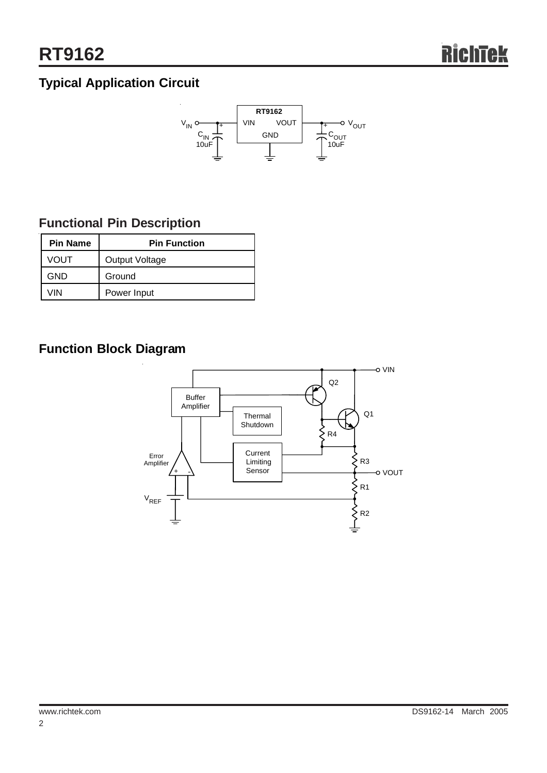# **Typical Application Circuit**



## **Functional Pin Description**

| <b>Pin Name</b> | <b>Pin Function</b> |  |  |
|-----------------|---------------------|--|--|
| <b>VOUT</b>     | Output Voltage      |  |  |
| <b>GND</b>      | Ground              |  |  |
| VIN             | Power Input         |  |  |

# **Function Block Diagram**

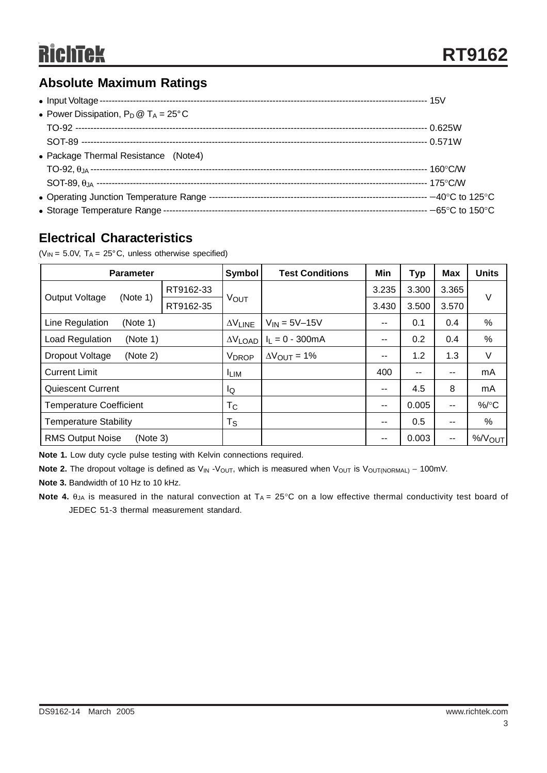## **Absolute Maximum Ratings**

| • Power Dissipation, $P_D @ T_A = 25^{\circ}C$ |  |
|------------------------------------------------|--|
|                                                |  |
|                                                |  |
| • Package Thermal Resistance (Note4)           |  |
|                                                |  |
|                                                |  |
|                                                |  |
|                                                |  |

## **Electrical Characteristics**

( $V_{IN}$  = 5.0V,  $T_A$  = 25°C, unless otherwise specified)

| <b>Parameter</b>                    |           | Symbol                   | <b>Test Conditions</b>        | Min   | <b>Typ</b>    | <b>Max</b>               | <b>Units</b>       |
|-------------------------------------|-----------|--------------------------|-------------------------------|-------|---------------|--------------------------|--------------------|
| <b>Output Voltage</b><br>(Note 1)   | RT9162-33 | VOUT                     |                               | 3.235 | 3.300         | 3.365                    |                    |
|                                     | RT9162-35 |                          |                               | 3.430 | 3.500         | 3.570                    | V                  |
| Line Regulation<br>(Note 1)         |           | $\Delta V$ LINE          | $V_{IN} = 5V - 15V$           | --    | 0.1           | 0.4                      | $\%$               |
| Load Regulation<br>(Note 1)         |           | $\Delta V$ LOAD          | $I_1 = 0 - 300mA$             | $- -$ | 0.2           | 0.4                      | $\%$               |
| Dropout Voltage<br>(Note 2)         |           | <b>V</b> <sub>DROP</sub> | $\Delta V_{\text{OUT}} = 1\%$ | --    | 1.2           | 1.3                      | V                  |
| <b>Current Limit</b>                |           | <b>LIM</b>               |                               | 400   | $\sim$ $\sim$ | $- -$                    | mA                 |
| <b>Quiescent Current</b>            |           | lQ                       |                               | --    | 4.5           | 8                        | mA                 |
| <b>Temperature Coefficient</b>      |           | $T_{\rm C}$              |                               | --    | 0.005         | $\overline{\phantom{a}}$ | $\%$ /°C           |
| <b>Temperature Stability</b>        |           | $T_S$                    |                               | --    | 0.5           | $\sim$ $\sim$            | %                  |
| <b>RMS Output Noise</b><br>(Note 3) |           |                          |                               |       | 0.003         | $\overline{\phantom{a}}$ | %/V <sub>OUT</sub> |

**Note 1.** Low duty cycle pulse testing with Kelvin connections required.

Note 2. The dropout voltage is defined as V<sub>IN</sub> -V<sub>OUT</sub>, which is measured when V<sub>OUT</sub> is V<sub>OUT(NORMAL)</sub> – 100mV.

**Note 3.** Bandwidth of 10 Hz to 10 kHz.

**Note 4.**  $\theta_{JA}$  is measured in the natural convection at  $T_A = 25^\circ \text{C}$  on a low effective thermal conductivity test board of JEDEC 51-3 thermal measurement standard.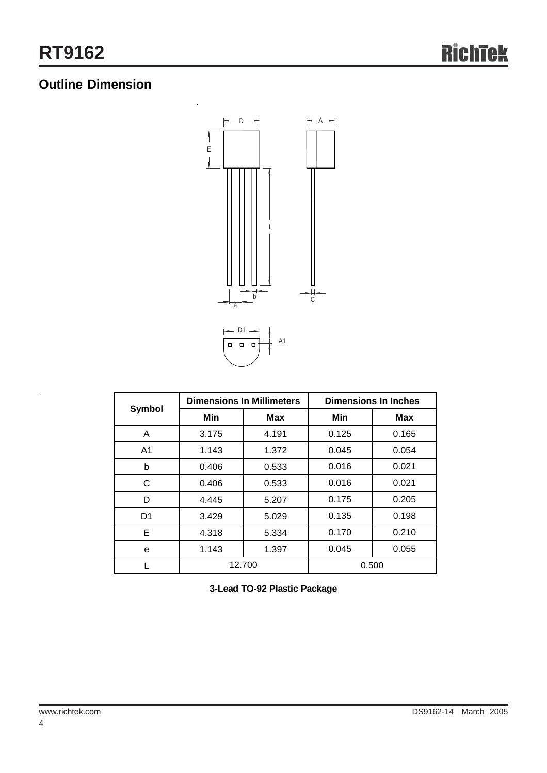# **Outline Dimension**



| Symbol         |        | <b>Dimensions In Millimeters</b> | <b>Dimensions In Inches</b> |       |  |
|----------------|--------|----------------------------------|-----------------------------|-------|--|
|                | Min    | <b>Max</b>                       | Min                         | Max   |  |
| A              | 3.175  | 4.191                            | 0.125                       | 0.165 |  |
| A <sub>1</sub> | 1.143  | 1.372                            | 0.045                       | 0.054 |  |
| b              | 0.406  | 0.533                            | 0.016                       | 0.021 |  |
| С              | 0.406  | 0.533                            | 0.016                       | 0.021 |  |
| D              | 4.445  | 5.207                            | 0.175                       | 0.205 |  |
| D <sub>1</sub> | 3.429  | 5.029                            | 0.135                       | 0.198 |  |
| Е              | 4.318  | 5.334                            | 0.170                       | 0.210 |  |
| e              | 1.143  | 1.397                            | 0.045                       | 0.055 |  |
|                | 12.700 |                                  |                             | 0.500 |  |

**3-Lead TO-92 Plastic Package**